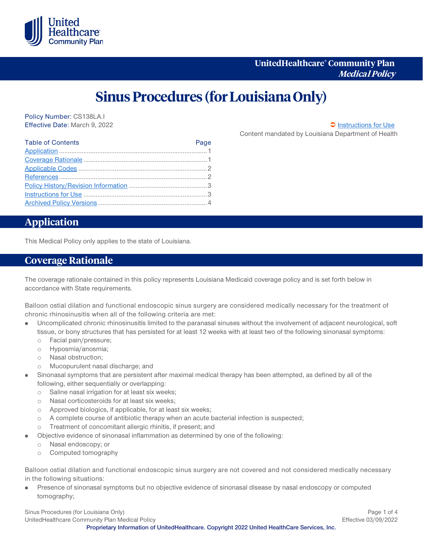

# **Sinus Procedures (for Louisiana Only)**

Policy Number: CS138LA.I Effective Date: March 9, 2022 [Instructions for Use](#page-2-0)

Content mandated by Louisiana Department of Health

| <b>Table of Contents</b> | Page |
|--------------------------|------|
|                          |      |
|                          |      |
|                          |      |
|                          |      |
|                          |      |
|                          |      |
|                          |      |

## <span id="page-0-0"></span>**Application**

This Medical Policy only applies to the state of Louisiana.

### <span id="page-0-1"></span>**Coverage Rationale**

The coverage rationale contained in this policy represents Louisiana Medicaid coverage policy and is set forth below in accordance with State requirements.

Balloon ostial dilation and functional endoscopic sinus surgery are considered medically necessary for the treatment of chronic rhinosinusitis when all of the following criteria are met:

- Uncomplicated chronic rhinosinusitis limited to the paranasal sinuses without the involvement of adjacent neurological, soft tissue, or bony structures that has persisted for at least 12 weeks with at least two of the following sinonasal symptoms:
	- o Facial pain/pressure;
	- o Hyposmia/anosmia;
	- o Nasal obstruction;
	- o Mucopurulent nasal discharge; and
- Sinonasal symptoms that are persistent after maximal medical therapy has been attempted, as defined by all of the following, either sequentially or overlapping:
	- o Saline nasal irrigation for at least six weeks;
	- o Nasal corticosteroids for at least six weeks;
	- o Approved biologics, if applicable, for at least six weeks;
	- o A complete course of antibiotic therapy when an acute bacterial infection is suspected;
	- o Treatment of concomitant allergic rhinitis, if present; and
- Objective evidence of sinonasal inflammation as determined by one of the following:
	- o Nasal endoscopy; or
	- o Computed tomography

Balloon ostial dilation and functional endoscopic sinus surgery are not covered and not considered medically necessary in the following situations:

Presence of sinonasal symptoms but no objective evidence of sinonasal disease by nasal endoscopy or computed tomography;

Sinus Procedures (for Louisiana Only) **Page 1 of 4** and 2008 and 2008 and 2008 and 2008 and 2008 and 2008 and 2008 and 2008 and 2008 and 2008 and 2008 and 2008 and 2008 and 2008 and 2008 and 2008 and 2008 and 2008 and 2008 UnitedHealthcare Community Plan Medical Policy **Effective 03/09/2022** 

**Proprietary Information of UnitedHealthcare. Copyright 2022 United HealthCare Services, Inc.**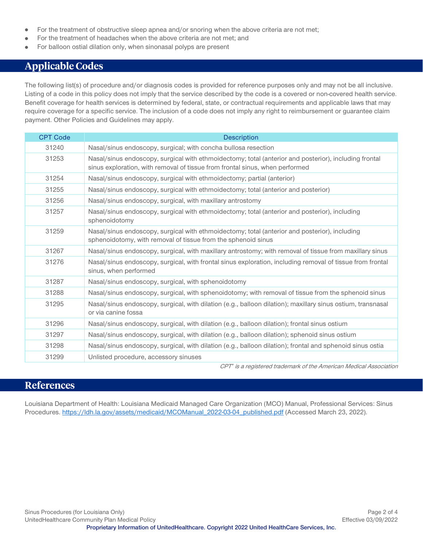- For the treatment of obstructive sleep apnea and/or snoring when the above criteria are not met;  $\bullet$
- For the treatment of headaches when the above criteria are not met; and
- For balloon ostial dilation only, when sinonasal polyps are present

# <span id="page-1-0"></span>**Applicable Codes**

The following list(s) of procedure and/or diagnosis codes is provided for reference purposes only and may not be all inclusive. Listing of a code in this policy does not imply that the service described by the code is a covered or non-covered health service. Benefit coverage for health services is determined by federal, state, or contractual requirements and applicable laws that may require coverage for a specific service. The inclusion of a code does not imply any right to reimbursement or guarantee claim payment. Other Policies and Guidelines may apply.

| <b>CPT Code</b> | <b>Description</b>                                                                                                                                                                    |
|-----------------|---------------------------------------------------------------------------------------------------------------------------------------------------------------------------------------|
| 31240           | Nasal/sinus endoscopy, surgical; with concha bullosa resection                                                                                                                        |
| 31253           | Nasal/sinus endoscopy, surgical with ethmoidectomy; total (anterior and posterior), including frontal<br>sinus exploration, with removal of tissue from frontal sinus, when performed |
| 31254           | Nasal/sinus endoscopy, surgical with ethmoidectomy; partial (anterior)                                                                                                                |
| 31255           | Nasal/sinus endoscopy, surgical with ethmoidectomy; total (anterior and posterior)                                                                                                    |
| 31256           | Nasal/sinus endoscopy, surgical, with maxillary antrostomy                                                                                                                            |
| 31257           | Nasal/sinus endoscopy, surgical with ethmoidectomy; total (anterior and posterior), including<br>sphenoidotomy                                                                        |
| 31259           | Nasal/sinus endoscopy, surgical with ethmoidectomy; total (anterior and posterior), including<br>sphenoidotomy, with removal of tissue from the sphenoid sinus                        |
| 31267           | Nasal/sinus endoscopy, surgical, with maxillary antrostomy; with removal of tissue from maxillary sinus                                                                               |
| 31276           | Nasal/sinus endoscopy, surgical, with frontal sinus exploration, including removal of tissue from frontal<br>sinus, when performed                                                    |
| 31287           | Nasal/sinus endoscopy, surgical, with sphenoidotomy                                                                                                                                   |
| 31288           | Nasal/sinus endoscopy, surgical, with sphenoidotomy; with removal of tissue from the sphenoid sinus                                                                                   |
| 31295           | Nasal/sinus endoscopy, surgical, with dilation (e.g., balloon dilation); maxillary sinus ostium, transnasal<br>or via canine fossa                                                    |
| 31296           | Nasal/sinus endoscopy, surgical, with dilation (e.g., balloon dilation); frontal sinus ostium                                                                                         |
| 31297           | Nasal/sinus endoscopy, surgical, with dilation (e.g., balloon dilation); sphenoid sinus ostium                                                                                        |
| 31298           | Nasal/sinus endoscopy, surgical, with dilation (e.g., balloon dilation); frontal and sphenoid sinus ostia                                                                             |
| 31299           | Unlisted procedure, accessory sinuses                                                                                                                                                 |

CPT® is a registered trademark of the American Medical Association

#### <span id="page-1-1"></span>**References**

Louisiana Department of Health: Louisiana Medicaid Managed Care Organization (MCO) Manual, Professional Services: Sinus Procedures. [https://ldh.la.gov/assets/medicaid/MCOManual\\_2022-03-04\\_published.pdf](https://ldh.la.gov/assets/medicaid/MCOManual_2022-03-04_published.pdf) (Accessed March 23, 2022).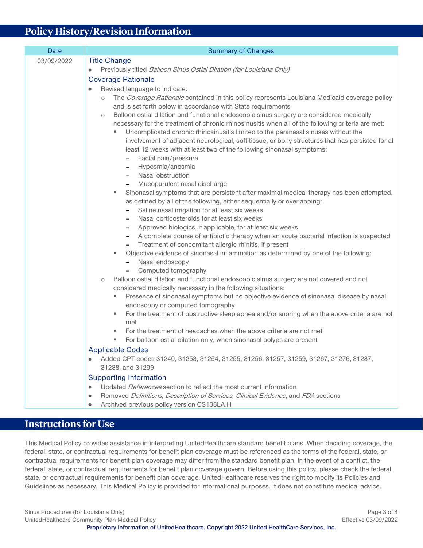# <span id="page-2-1"></span>**Policy History/Revision Information**

| <b>Date</b> | <b>Summary of Changes</b>                                                                                                                                                                                                                                                                                                                                                                                                                                                                                                                                                                                                                                                                                                                                                                                                                                                                                                                                                                                                                                                                                                                                                                                                                                                                                                                                                                                                                                                                                                                                                                                                                                                                                                                                                                                                                                                                                                                                                                                                                 |
|-------------|-------------------------------------------------------------------------------------------------------------------------------------------------------------------------------------------------------------------------------------------------------------------------------------------------------------------------------------------------------------------------------------------------------------------------------------------------------------------------------------------------------------------------------------------------------------------------------------------------------------------------------------------------------------------------------------------------------------------------------------------------------------------------------------------------------------------------------------------------------------------------------------------------------------------------------------------------------------------------------------------------------------------------------------------------------------------------------------------------------------------------------------------------------------------------------------------------------------------------------------------------------------------------------------------------------------------------------------------------------------------------------------------------------------------------------------------------------------------------------------------------------------------------------------------------------------------------------------------------------------------------------------------------------------------------------------------------------------------------------------------------------------------------------------------------------------------------------------------------------------------------------------------------------------------------------------------------------------------------------------------------------------------------------------------|
| 03/09/2022  | <b>Title Change</b><br>Previously titled Balloon Sinus Ostial Dilation (for Louisiana Only)<br>۰<br><b>Coverage Rationale</b><br>Revised language to indicate:<br>The Coverage Rationale contained in this policy represents Louisiana Medicaid coverage policy<br>$\circ$<br>and is set forth below in accordance with State requirements<br>Balloon ostial dilation and functional endoscopic sinus surgery are considered medically<br>$\circlearrowright$<br>necessary for the treatment of chronic rhinosinusitis when all of the following criteria are met:<br>Uncomplicated chronic rhinosinusitis limited to the paranasal sinuses without the<br>involvement of adjacent neurological, soft tissue, or bony structures that has persisted for at<br>least 12 weeks with at least two of the following sinonasal symptoms:<br>Facial pain/pressure<br>Hyposmia/anosmia<br>Nasal obstruction<br>Mucopurulent nasal discharge<br>Sinonasal symptoms that are persistent after maximal medical therapy has been attempted,<br>٠<br>as defined by all of the following, either sequentially or overlapping:<br>Saline nasal irrigation for at least six weeks<br>Nasal corticosteroids for at least six weeks<br>Approved biologics, if applicable, for at least six weeks<br>$\overline{\phantom{a}}$<br>A complete course of antibiotic therapy when an acute bacterial infection is suspected<br>-<br>Treatment of concomitant allergic rhinitis, if present<br>-<br>Objective evidence of sinonasal inflammation as determined by one of the following:<br>Nasal endoscopy<br>Computed tomography<br>Balloon ostial dilation and functional endoscopic sinus surgery are not covered and not<br>$\circlearrowright$<br>considered medically necessary in the following situations:<br>Presence of sinonasal symptoms but no objective evidence of sinonasal disease by nasal<br>ш<br>endoscopy or computed tomography<br>For the treatment of obstructive sleep apnea and/or snoring when the above criteria are not<br>ш<br>met |
|             | For the treatment of headaches when the above criteria are not met<br>For balloon ostial dilation only, when sinonasal polyps are present                                                                                                                                                                                                                                                                                                                                                                                                                                                                                                                                                                                                                                                                                                                                                                                                                                                                                                                                                                                                                                                                                                                                                                                                                                                                                                                                                                                                                                                                                                                                                                                                                                                                                                                                                                                                                                                                                                 |
|             | <b>Applicable Codes</b><br>Added CPT codes 31240, 31253, 31254, 31255, 31256, 31257, 31259, 31267, 31276, 31287,<br>۰<br>31288, and 31299                                                                                                                                                                                                                                                                                                                                                                                                                                                                                                                                                                                                                                                                                                                                                                                                                                                                                                                                                                                                                                                                                                                                                                                                                                                                                                                                                                                                                                                                                                                                                                                                                                                                                                                                                                                                                                                                                                 |
|             | <b>Supporting Information</b><br>Updated References section to reflect the most current information<br>Removed Definitions, Description of Services, Clinical Evidence, and FDA sections<br>۰<br>Archived previous policy version CS138LA.H                                                                                                                                                                                                                                                                                                                                                                                                                                                                                                                                                                                                                                                                                                                                                                                                                                                                                                                                                                                                                                                                                                                                                                                                                                                                                                                                                                                                                                                                                                                                                                                                                                                                                                                                                                                               |

# <span id="page-2-0"></span>**Instructions for Use**

This Medical Policy provides assistance in interpreting UnitedHealthcare standard benefit plans. When deciding coverage, the federal, state, or contractual requirements for benefit plan coverage must be referenced as the terms of the federal, state, or contractual requirements for benefit plan coverage may differ from the standard benefit plan. In the event of a conflict, the federal, state, or contractual requirements for benefit plan coverage govern. Before using this policy, please check the federal, state, or contractual requirements for benefit plan coverage. UnitedHealthcare reserves the right to modify its Policies and Guidelines as necessary. This Medical Policy is provided for informational purposes. It does not constitute medical advice.